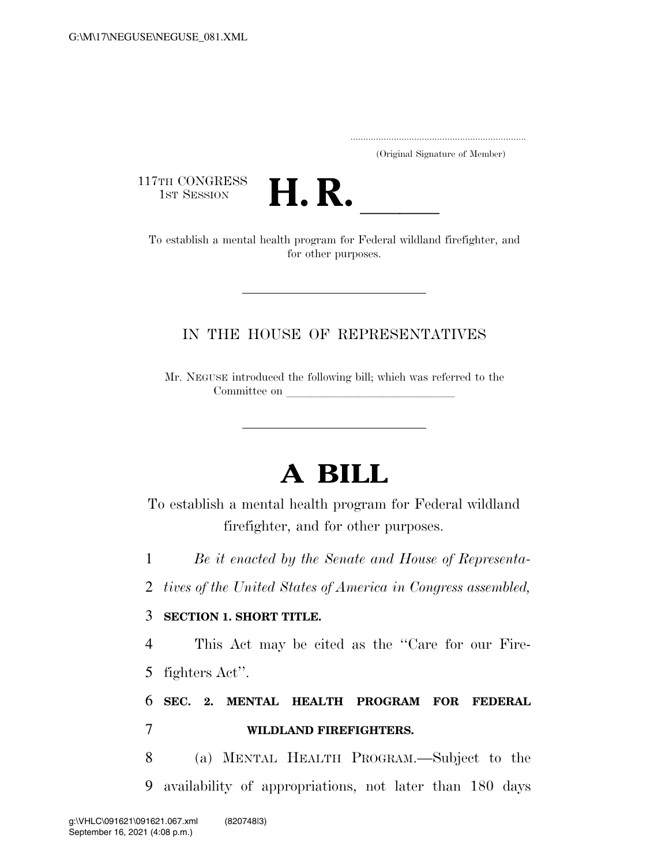..................................................................... (Original Signature of Member)

117TH CONGRESS<br>1st Session



13T SESSION **H. R. H. R. I. H. R.** To establish a mental health program for Federal wildland firefighter, and for other purposes.

## IN THE HOUSE OF REPRESENTATIVES

Mr. NEGUSE introduced the following bill; which was referred to the Committee on

## **A BILL**

To establish a mental health program for Federal wildland firefighter, and for other purposes.

1 *Be it enacted by the Senate and House of Representa-*

2 *tives of the United States of America in Congress assembled,* 

## 3 **SECTION 1. SHORT TITLE.**

4 This Act may be cited as the ''Care for our Fire-5 fighters Act''.

## 6 **SEC. 2. MENTAL HEALTH PROGRAM FOR FEDERAL**  7 **WILDLAND FIREFIGHTERS.**

8 (a) MENTAL HEALTH PROGRAM.—Subject to the 9 availability of appropriations, not later than 180 days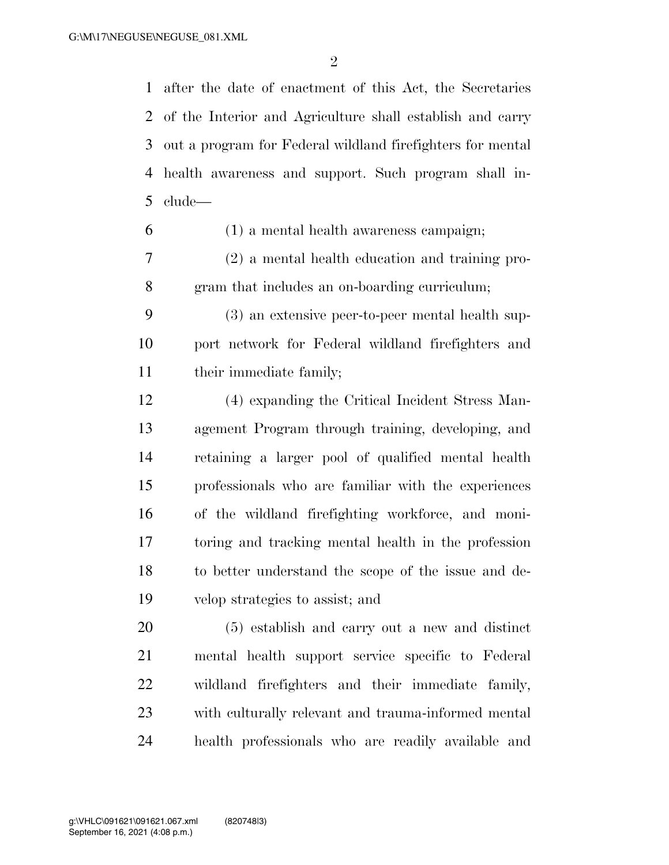after the date of enactment of this Act, the Secretaries of the Interior and Agriculture shall establish and carry out a program for Federal wildland firefighters for mental health awareness and support. Such program shall in-clude—

(1) a mental health awareness campaign;

 (2) a mental health education and training pro-gram that includes an on-boarding curriculum;

 (3) an extensive peer-to-peer mental health sup- port network for Federal wildland firefighters and 11 their immediate family;

 (4) expanding the Critical Incident Stress Man- agement Program through training, developing, and retaining a larger pool of qualified mental health professionals who are familiar with the experiences of the wildland firefighting workforce, and moni- toring and tracking mental health in the profession to better understand the scope of the issue and de-velop strategies to assist; and

 (5) establish and carry out a new and distinct mental health support service specific to Federal wildland firefighters and their immediate family, with culturally relevant and trauma-informed mental health professionals who are readily available and